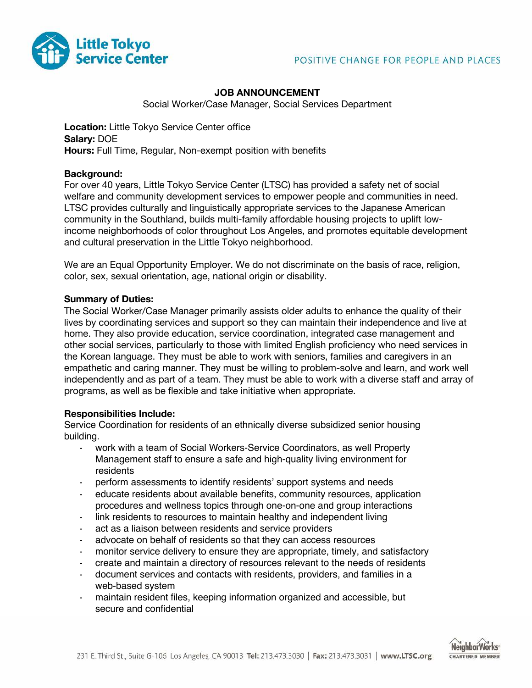

# **JOB ANNOUNCEMENT**

Social Worker/Case Manager, Social Services Department

**Location:** Little Tokyo Service Center office **Salary:** DOE **Hours:** Full Time, Regular, Non-exempt position with benefits

#### **Background:**

For over 40 years, Little Tokyo Service Center (LTSC) has provided a safety net of social welfare and community development services to empower people and communities in need. LTSC provides culturally and linguistically appropriate services to the Japanese American community in the Southland, builds multi-family affordable housing projects to uplift lowincome neighborhoods of color throughout Los Angeles, and promotes equitable development and cultural preservation in the Little Tokyo neighborhood.

We are an Equal Opportunity Employer. We do not discriminate on the basis of race, religion, color, sex, sexual orientation, age, national origin or disability.

### **Summary of Duties:**

The Social Worker/Case Manager primarily assists older adults to enhance the quality of their lives by coordinating services and support so they can maintain their independence and live at home. They also provide education, service coordination, integrated case management and other social services, particularly to those with limited English proficiency who need services in the Korean language. They must be able to work with seniors, families and caregivers in an empathetic and caring manner. They must be willing to problem-solve and learn, and work well independently and as part of a team. They must be able to work with a diverse staff and array of programs, as well as be flexible and take initiative when appropriate.

## **Responsibilities Include:**

Service Coordination for residents of an ethnically diverse subsidized senior housing building.

- work with a team of Social Workers-Service Coordinators, as well Property Management staff to ensure a safe and high-quality living environment for residents
- perform assessments to identify residents' support systems and needs
- educate residents about available benefits, community resources, application procedures and wellness topics through one-on-one and group interactions
- link residents to resources to maintain healthy and independent living
- act as a liaison between residents and service providers
- advocate on behalf of residents so that they can access resources
- monitor service delivery to ensure they are appropriate, timely, and satisfactory
- create and maintain a directory of resources relevant to the needs of residents
- document services and contacts with residents, providers, and families in a web-based system
- maintain resident files, keeping information organized and accessible, but secure and confidential